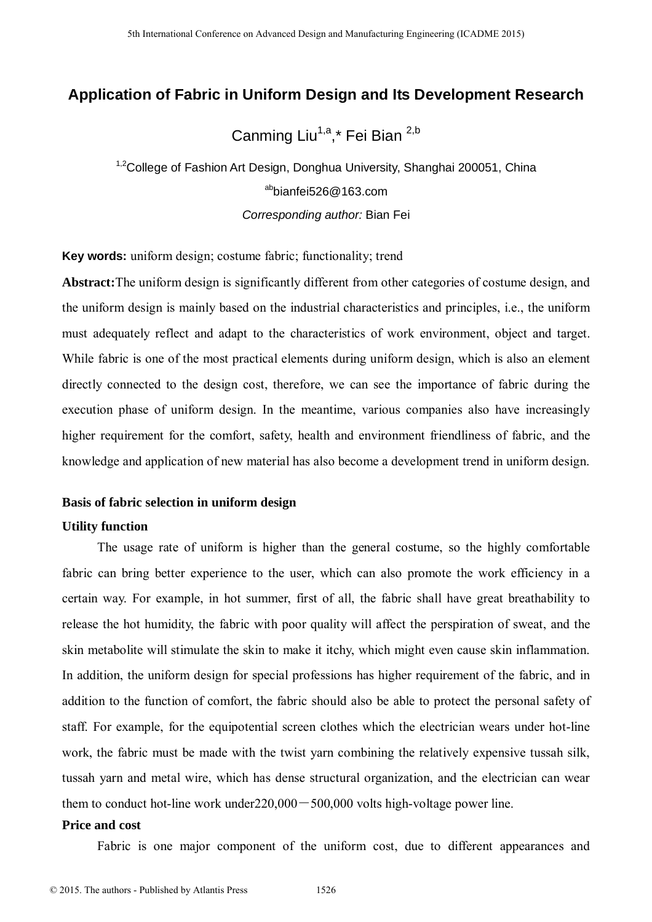# **Application of Fabric in Uniform Design and Its Development Research**

Canming Liu<sup>1,a</sup>,\* Fei Bian <sup>2,b</sup>

<sup>1,2</sup>College of Fashion Art Design, Donghua University, Shanghai 200051, China  $a<sup>ab</sup>$ hianfei526@163.com *Corresponding author:* Bian Fei

**Key words:** uniform design; costume fabric; functionality; trend

**Abstract:**The uniform design is significantly different from other categories of costume design, and the uniform design is mainly based on the industrial characteristics and principles, i.e., the uniform must adequately reflect and adapt to the characteristics of work environment, object and target. While fabric is one of the most practical elements during uniform design, which is also an element directly connected to the design cost, therefore, we can see the importance of fabric during the execution phase of uniform design. In the meantime, various companies also have increasingly higher requirement for the comfort, safety, health and environment friendliness of fabric, and the knowledge and application of new material has also become a development trend in uniform design.

## **Basis of fabric selection in uniform design**

## **Utility function**

The usage rate of uniform is higher than the general costume, so the highly comfortable fabric can bring better experience to the user, which can also promote the work efficiency in a certain way. For example, in hot summer, first of all, the fabric shall have great breathability to release the hot humidity, the fabric with poor quality will affect the perspiration of sweat, and the skin metabolite will stimulate the skin to make it itchy, which might even cause skin inflammation. In addition, the uniform design for special professions has higher requirement of the fabric, and in addition to the function of comfort, the fabric should also be able to protect the personal safety of staff. For example, for the equipotential screen clothes which the electrician wears under hot-line work, the fabric must be made with the twist yarn combining the relatively expensive tussah silk, tussah yarn and metal wire, which has dense structural organization, and the electrician can wear them to conduct hot-line work under  $220,000 - 500,000$  volts high-voltage power line. 5th International Conference on Advanced Design and Manufacture Engineering (CADME 2015)<br>
<sup>42</sup>Conference of Fashion Art Design, Domphua Manufacturing Solutions - Conceptions Constant Conference of Fashion<br>
<sup>43</sup>ional Confe

## **Price and cost**

Fabric is one major component of the uniform cost, due to different appearances and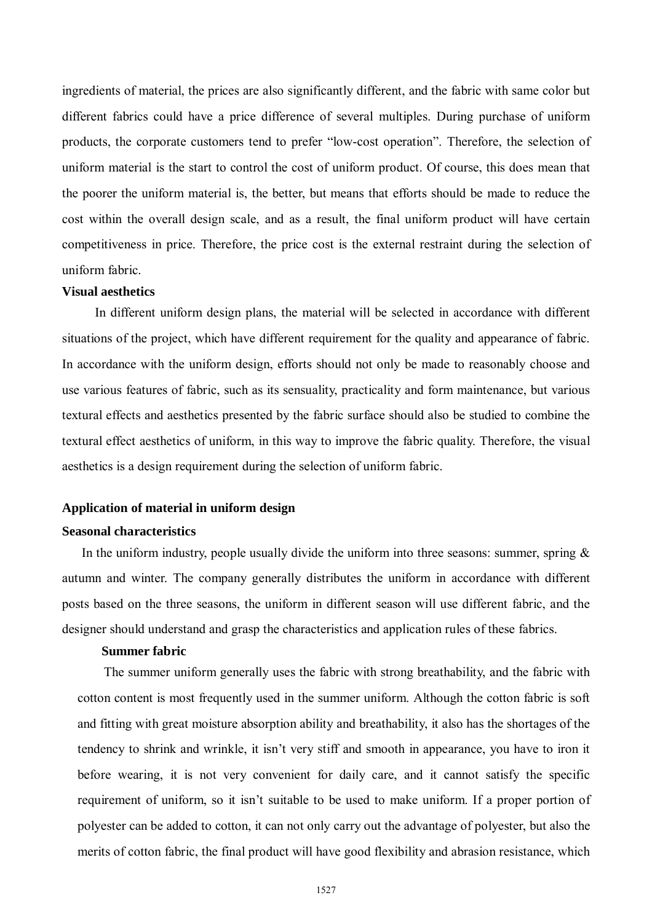ingredients of material, the prices are also significantly different, and the fabric with same color but different fabrics could have a price difference of several multiples. During purchase of uniform products, the corporate customers tend to prefer "low-cost operation". Therefore, the selection of uniform material is the start to control the cost of uniform product. Of course, this does mean that the poorer the uniform material is, the better, but means that efforts should be made to reduce the cost within the overall design scale, and as a result, the final uniform product will have certain competitiveness in price. Therefore, the price cost is the external restraint during the selection of uniform fabric.

#### **Visual aesthetics**

In different uniform design plans, the material will be selected in accordance with different situations of the project, which have different requirement for the quality and appearance of fabric. In accordance with the uniform design, efforts should not only be made to reasonably choose and use various features of fabric, such as its sensuality, practicality and form maintenance, but various textural effects and aesthetics presented by the fabric surface should also be studied to combine the textural effect aesthetics of uniform, in this way to improve the fabric quality. Therefore, the visual aesthetics is a design requirement during the selection of uniform fabric.

#### **Application of material in uniform design**

## **Seasonal characteristics**

In the uniform industry, people usually divide the uniform into three seasons: summer, spring  $\&$ autumn and winter. The company generally distributes the uniform in accordance with different posts based on the three seasons, the uniform in different season will use different fabric, and the designer should understand and grasp the characteristics and application rules of these fabrics.

#### **Summer fabric**

The summer uniform generally uses the fabric with strong breathability, and the fabric with cotton content is most frequently used in the summer uniform. Although the cotton fabric is soft and fitting with great moisture absorption ability and breathability, it also has the shortages of the tendency to shrink and wrinkle, it isn't very stiff and smooth in appearance, you have to iron it before wearing, it is not very convenient for daily care, and it cannot satisfy the specific requirement of uniform, so it isn't suitable to be used to make uniform. If a proper portion of polyester can be added to cotton, it can not only carry out the advantage of polyester, but also the merits of cotton fabric, the final product will have good flexibility and abrasion resistance, which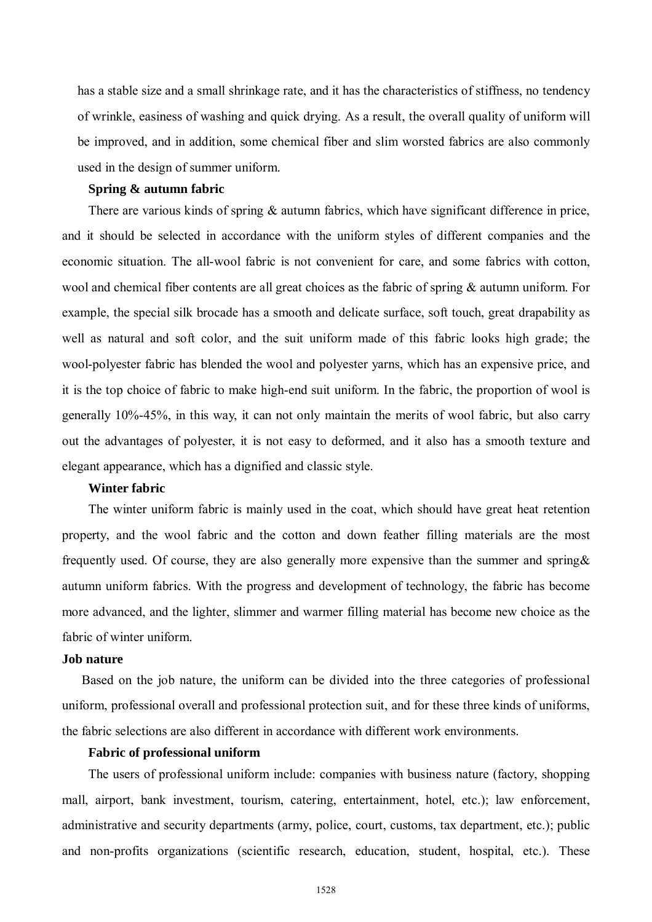has a stable size and a small shrinkage rate, and it has the characteristics of stiffness, no tendency of wrinkle, easiness of washing and quick drying. As a result, the overall quality of uniform will be improved, and in addition, some chemical fiber and slim worsted fabrics are also commonly used in the design of summer uniform.

#### **Spring & autumn fabric**

There are various kinds of spring  $\&$  autumn fabrics, which have significant difference in price, and it should be selected in accordance with the uniform styles of different companies and the economic situation. The all-wool fabric is not convenient for care, and some fabrics with cotton, wool and chemical fiber contents are all great choices as the fabric of spring & autumn uniform. For example, the special silk brocade has a smooth and delicate surface, soft touch, great drapability as well as natural and soft color, and the suit uniform made of this fabric looks high grade; the wool-polyester fabric has blended the wool and polyester yarns, which has an expensive price, and it is the top choice of fabric to make high-end suit uniform. In the fabric, the proportion of wool is generally 10%-45%, in this way, it can not only maintain the merits of wool fabric, but also carry out the advantages of polyester, it is not easy to deformed, and it also has a smooth texture and elegant appearance, which has a dignified and classic style.

#### **Winter fabric**

The winter uniform fabric is mainly used in the coat, which should have great heat retention property, and the wool fabric and the cotton and down feather filling materials are the most frequently used. Of course, they are also generally more expensive than the summer and spring& autumn uniform fabrics. With the progress and development of technology, the fabric has become more advanced, and the lighter, slimmer and warmer filling material has become new choice as the fabric of winter uniform.

### **Job nature**

 Based on the job nature, the uniform can be divided into the three categories of professional uniform, professional overall and professional protection suit, and for these three kinds of uniforms, the fabric selections are also different in accordance with different work environments.

#### **Fabric of professional uniform**

The users of professional uniform include: companies with business nature (factory, shopping mall, airport, bank investment, tourism, catering, entertainment, hotel, etc.); law enforcement, administrative and security departments (army, police, court, customs, tax department, etc.); public and non-profits organizations (scientific research, education, student, hospital, etc.). These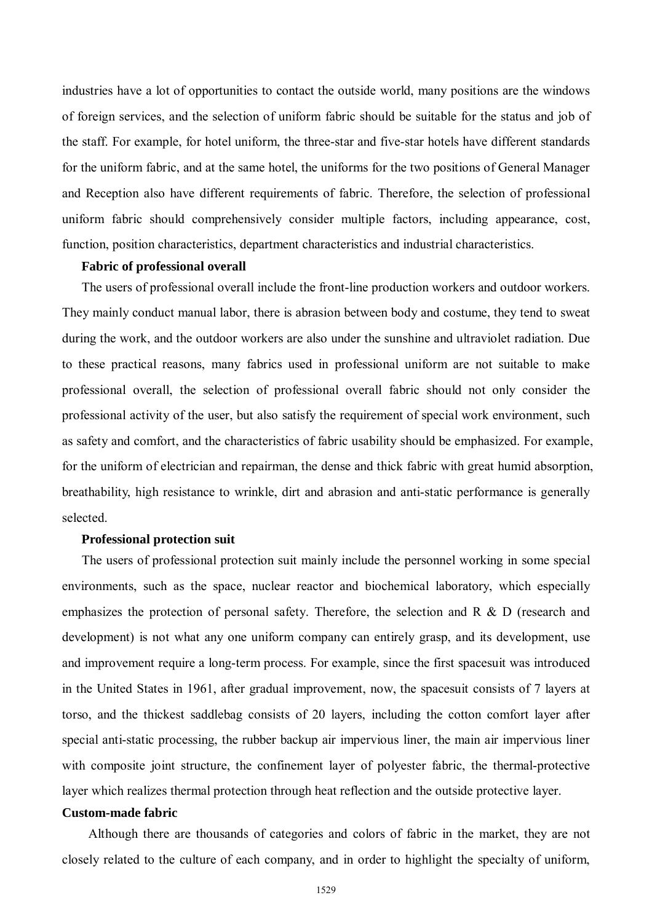industries have a lot of opportunities to contact the outside world, many positions are the windows of foreign services, and the selection of uniform fabric should be suitable for the status and job of the staff. For example, for hotel uniform, the three-star and five-star hotels have different standards for the uniform fabric, and at the same hotel, the uniforms for the two positions of General Manager and Reception also have different requirements of fabric. Therefore, the selection of professional uniform fabric should comprehensively consider multiple factors, including appearance, cost, function, position characteristics, department characteristics and industrial characteristics.

#### **Fabric of professional overall**

 The users of professional overall include the front-line production workers and outdoor workers. They mainly conduct manual labor, there is abrasion between body and costume, they tend to sweat during the work, and the outdoor workers are also under the sunshine and ultraviolet radiation. Due to these practical reasons, many fabrics used in professional uniform are not suitable to make professional overall, the selection of professional overall fabric should not only consider the professional activity of the user, but also satisfy the requirement of special work environment, such as safety and comfort, and the characteristics of fabric usability should be emphasized. For example, for the uniform of electrician and repairman, the dense and thick fabric with great humid absorption, breathability, high resistance to wrinkle, dirt and abrasion and anti-static performance is generally selected.

#### **Professional protection suit**

The users of professional protection suit mainly include the personnel working in some special environments, such as the space, nuclear reactor and biochemical laboratory, which especially emphasizes the protection of personal safety. Therefore, the selection and R & D (research and development) is not what any one uniform company can entirely grasp, and its development, use and improvement require a long-term process. For example, since the first spacesuit was introduced in the United States in 1961, after gradual improvement, now, the spacesuit consists of 7 layers at torso, and the thickest saddlebag consists of 20 layers, including the cotton comfort layer after special anti-static processing, the rubber backup air impervious liner, the main air impervious liner with composite joint structure, the confinement layer of polyester fabric, the thermal-protective layer which realizes thermal protection through heat reflection and the outside protective layer.

## **Custom-made fabric**

Although there are thousands of categories and colors of fabric in the market, they are not closely related to the culture of each company, and in order to highlight the specialty of uniform,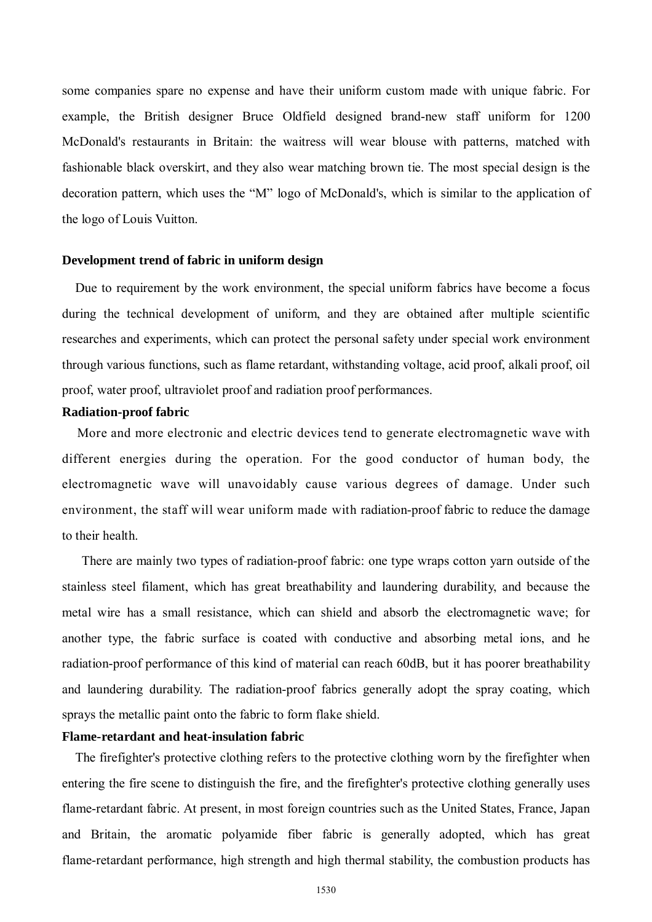some companies spare no expense and have their uniform custom made with unique fabric. For example, the British designer Bruce Oldfield designed brand-new staff uniform for 1200 McDonald's restaurants in Britain: the waitress will wear blouse with patterns, matched with fashionable black overskirt, and they also wear matching brown tie. The most special design is the decoration pattern, which uses the "M" logo of McDonald's, which is similar to the application of the logo of Louis Vuitton.

#### **Development trend of fabric in uniform design**

 Due to requirement by the work environment, the special uniform fabrics have become a focus during the technical development of uniform, and they are obtained after multiple scientific researches and experiments, which can protect the personal safety under special work environment through various functions, such as flame retardant, withstanding voltage, acid proof, alkali proof, oil proof, water proof, ultraviolet proof and radiation proof performances.

## **Radiation-proof fabric**

 More and more electronic and electric devices tend to generate electromagnetic wave with different energies during the operation. For the good conductor of human body, the electromagnetic wave will unavoidably cause various degrees of damage. Under such environment, the staff will wear uniform made with radiation-proof fabric to reduce the damage to their health.

 There are mainly two types of radiation-proof fabric: one type wraps cotton yarn outside of the stainless steel filament, which has great breathability and laundering durability, and because the metal wire has a small resistance, which can shield and absorb the electromagnetic wave; for another type, the fabric surface is coated with conductive and absorbing metal ions, and he radiation-proof performance of this kind of material can reach 60dB, but it has poorer breathability and laundering durability. The radiation-proof fabrics generally adopt the spray coating, which sprays the metallic paint onto the fabric to form flake shield.

## **Flame-retardant and heat-insulation fabric**

 The firefighter's protective clothing refers to the protective clothing worn by the firefighter when entering the fire scene to distinguish the fire, and the firefighter's protective clothing generally uses flame-retardant fabric. At present, in most foreign countries such as the United States, France, Japan and Britain, the aromatic polyamide fiber fabric is generally adopted, which has great flame-retardant performance, high strength and high thermal stability, the combustion products has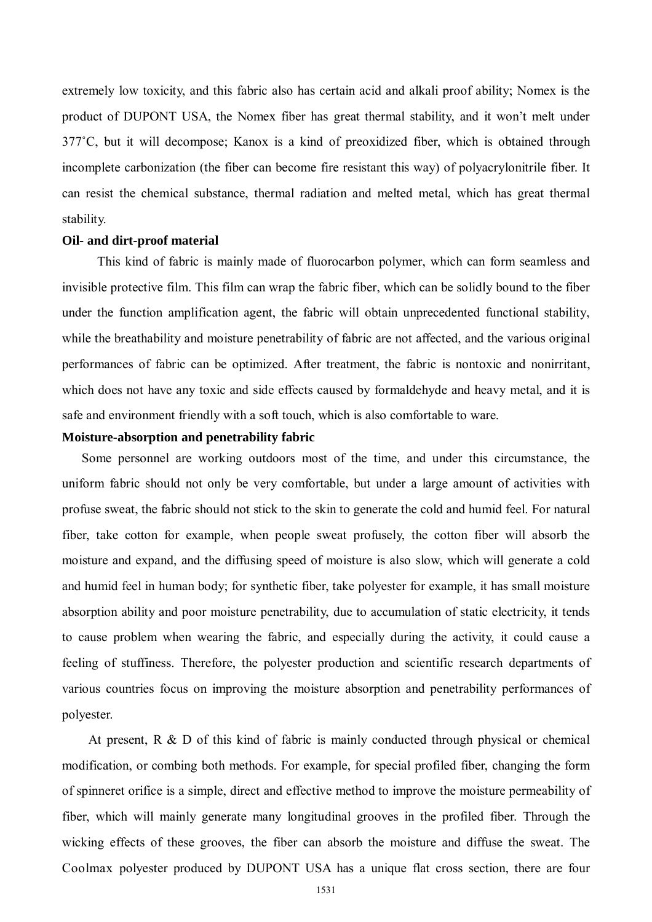extremely low toxicity, and this fabric also has certain acid and alkali proof ability; Nomex is the product of DUPONT USA, the Nomex fiber has great thermal stability, and it won't melt under 377˚C, but it will decompose; Kanox is a kind of preoxidized fiber, which is obtained through incomplete carbonization (the fiber can become fire resistant this way) of polyacrylonitrile fiber. It can resist the chemical substance, thermal radiation and melted metal, which has great thermal stability.

#### **Oil- and dirt-proof material**

This kind of fabric is mainly made of fluorocarbon polymer, which can form seamless and invisible protective film. This film can wrap the fabric fiber, which can be solidly bound to the fiber under the function amplification agent, the fabric will obtain unprecedented functional stability, while the breathability and moisture penetrability of fabric are not affected, and the various original performances of fabric can be optimized. After treatment, the fabric is nontoxic and nonirritant, which does not have any toxic and side effects caused by formaldehyde and heavy metal, and it is safe and environment friendly with a soft touch, which is also comfortable to ware.

#### **Moisture-absorption and penetrability fabric**

 Some personnel are working outdoors most of the time, and under this circumstance, the uniform fabric should not only be very comfortable, but under a large amount of activities with profuse sweat, the fabric should not stick to the skin to generate the cold and humid feel. For natural fiber, take cotton for example, when people sweat profusely, the cotton fiber will absorb the moisture and expand, and the diffusing speed of moisture is also slow, which will generate a cold and humid feel in human body; for synthetic fiber, take polyester for example, it has small moisture absorption ability and poor moisture penetrability, due to accumulation of static electricity, it tends to cause problem when wearing the fabric, and especially during the activity, it could cause a feeling of stuffiness. Therefore, the polyester production and scientific research departments of various countries focus on improving the moisture absorption and penetrability performances of polyester.

At present, R & D of this kind of fabric is mainly conducted through physical or chemical modification, or combing both methods. For example, for special profiled fiber, changing the form of spinneret orifice is a simple, direct and effective method to improve the moisture permeability of fiber, which will mainly generate many longitudinal grooves in the profiled fiber. Through the wicking effects of these grooves, the fiber can absorb the moisture and diffuse the sweat. The Coolmax polyester produced by DUPONT USA has a unique flat cross section, there are four